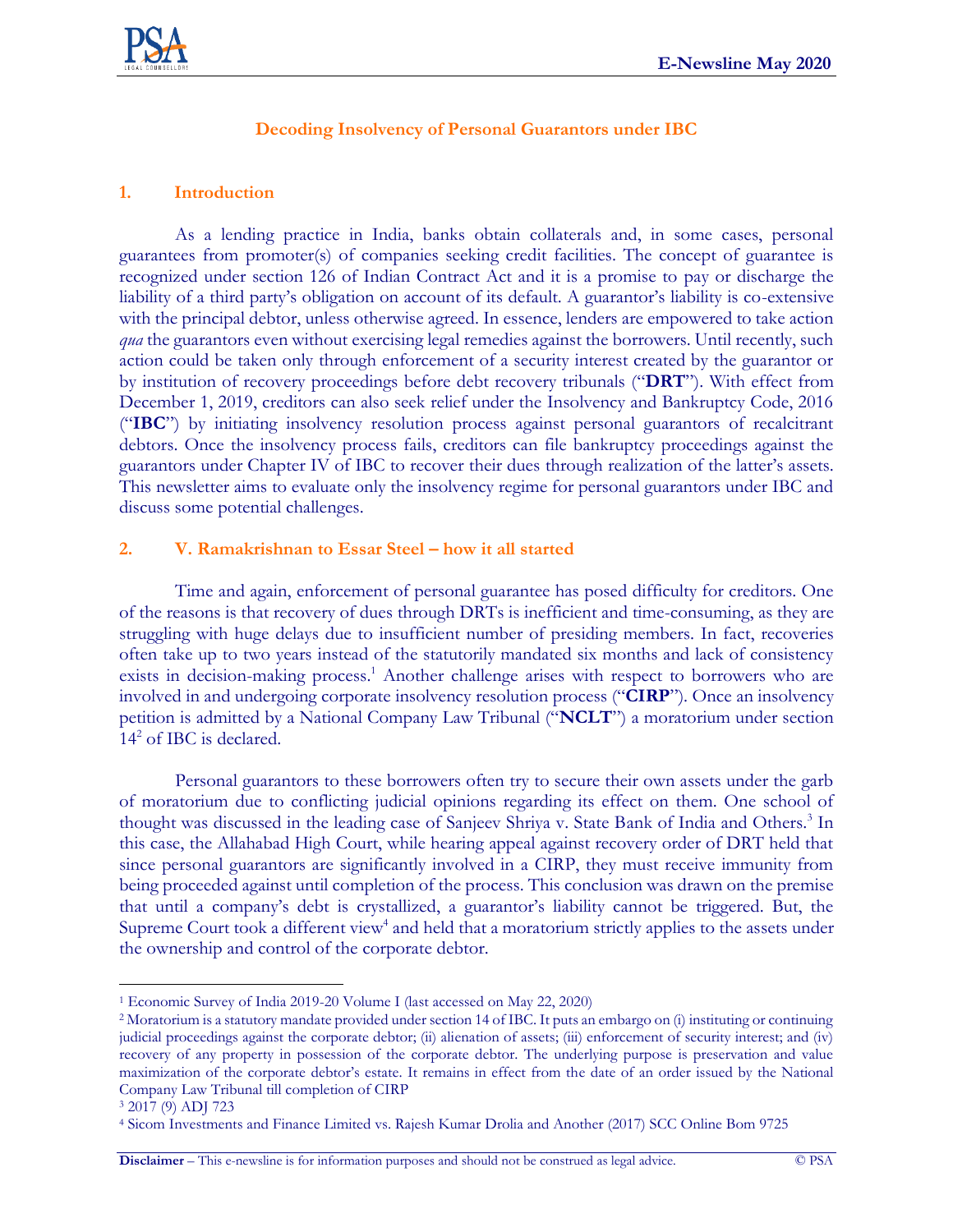

## **Decoding Insolvency of Personal Guarantors under IBC**

## **1. Introduction**

As a lending practice in India, banks obtain collaterals and, in some cases, personal guarantees from promoter(s) of companies seeking credit facilities. The concept of guarantee is recognized under section 126 of Indian Contract Act and it is a promise to pay or discharge the liability of a third party's obligation on account of its default. A guarantor's liability is co-extensive with the principal debtor, unless otherwise agreed. In essence, lenders are empowered to take action *qua* the guarantors even without exercising legal remedies against the borrowers. Until recently, such action could be taken only through enforcement of a security interest created by the guarantor or by institution of recovery proceedings before debt recovery tribunals ("**DRT**"). With effect from December 1, 2019, creditors can also seek relief under the Insolvency and Bankruptcy Code, 2016 ("**IBC**") by initiating insolvency resolution process against personal guarantors of recalcitrant debtors. Once the insolvency process fails, creditors can file bankruptcy proceedings against the guarantors under Chapter IV of IBC to recover their dues through realization of the latter's assets. This newsletter aims to evaluate only the insolvency regime for personal guarantors under IBC and discuss some potential challenges.

## **2. V. Ramakrishnan to Essar Steel – how it all started**

Time and again, enforcement of personal guarantee has posed difficulty for creditors. One of the reasons is that recovery of dues through DRTs is inefficient and time-consuming, as they are struggling with huge delays due to insufficient number of presiding members. In fact, recoveries often take up to two years instead of the statutorily mandated six months and lack of consistency exists in decision-making process.<sup>1</sup> Another challenge arises with respect to borrowers who are involved in and undergoing corporate insolvency resolution process ("**CIRP**"). Once an insolvency petition is admitted by a National Company Law Tribunal ("**NCLT**") a moratorium under section 14<sup>2</sup> of IBC is declared.

Personal guarantors to these borrowers often try to secure their own assets under the garb of moratorium due to conflicting judicial opinions regarding its effect on them. One school of thought was discussed in the leading case of Sanjeev Shriya v. State Bank of India and Others.<sup>3</sup> In this case, the Allahabad High Court, while hearing appeal against recovery order of DRT held that since personal guarantors are significantly involved in a CIRP, they must receive immunity from being proceeded against until completion of the process. This conclusion was drawn on the premise that until a company's debt is crystallized, a guarantor's liability cannot be triggered. But, the Supreme Court took a different view<sup>4</sup> and held that a moratorium strictly applies to the assets under the ownership and control of the corporate debtor.

<sup>1</sup> Economic Survey of India 2019-20 Volume I (last accessed on May 22, 2020)

<sup>2</sup> Moratorium is a statutory mandate provided under section 14 of IBC. It puts an embargo on (i) instituting or continuing judicial proceedings against the corporate debtor; (ii) alienation of assets; (iii) enforcement of security interest; and (iv) recovery of any property in possession of the corporate debtor. The underlying purpose is preservation and value maximization of the corporate debtor's estate. It remains in effect from the date of an order issued by the National Company Law Tribunal till completion of CIRP

<sup>3</sup> 2017 (9) ADJ 723

<sup>4</sup> Sicom Investments and Finance Limited vs. Rajesh Kumar Drolia and Another (2017) SCC Online Bom 9725

**Disclaimer** – This e-newsline is for information purposes and should not be construed as legal advice. © PSA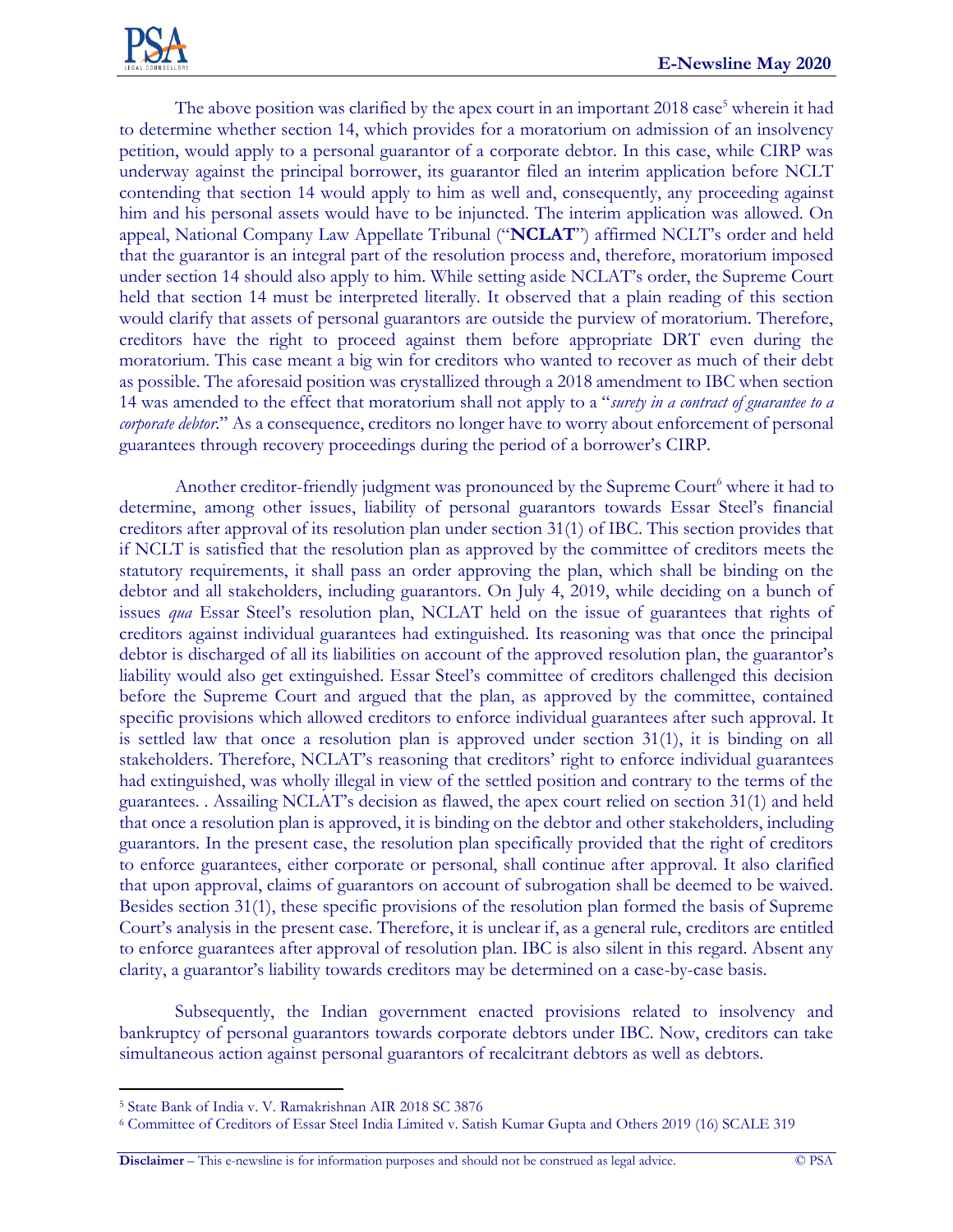The above position was clarified by the apex court in an important  $2018 \csc^5$  wherein it had to determine whether section 14, which provides for a moratorium on admission of an insolvency petition, would apply to a personal guarantor of a corporate debtor. In this case, while CIRP was underway against the principal borrower, its guarantor filed an interim application before NCLT contending that section 14 would apply to him as well and, consequently, any proceeding against him and his personal assets would have to be injuncted. The interim application was allowed. On appeal, National Company Law Appellate Tribunal ("**NCLAT**") affirmed NCLT's order and held that the guarantor is an integral part of the resolution process and, therefore, moratorium imposed under section 14 should also apply to him. While setting aside NCLAT's order, the Supreme Court held that section 14 must be interpreted literally. It observed that a plain reading of this section would clarify that assets of personal guarantors are outside the purview of moratorium. Therefore, creditors have the right to proceed against them before appropriate DRT even during the moratorium. This case meant a big win for creditors who wanted to recover as much of their debt as possible. The aforesaid position was crystallized through a 2018 amendment to IBC when section 14 was amended to the effect that moratorium shall not apply to a "*surety in a contract of guarantee to a corporate debtor*." As a consequence, creditors no longer have to worry about enforcement of personal guarantees through recovery proceedings during the period of a borrower's CIRP.

Another creditor-friendly judgment was pronounced by the Supreme Court<sup>6</sup> where it had to determine, among other issues, liability of personal guarantors towards Essar Steel's financial creditors after approval of its resolution plan under section 31(1) of IBC. This section provides that if NCLT is satisfied that the resolution plan as approved by the committee of creditors meets the statutory requirements, it shall pass an order approving the plan, which shall be binding on the debtor and all stakeholders, including guarantors. On July 4, 2019, while deciding on a bunch of issues *qua* Essar Steel's resolution plan, NCLAT held on the issue of guarantees that rights of creditors against individual guarantees had extinguished. Its reasoning was that once the principal debtor is discharged of all its liabilities on account of the approved resolution plan, the guarantor's liability would also get extinguished. Essar Steel's committee of creditors challenged this decision before the Supreme Court and argued that the plan, as approved by the committee, contained specific provisions which allowed creditors to enforce individual guarantees after such approval. It is settled law that once a resolution plan is approved under section 31(1), it is binding on all stakeholders. Therefore, NCLAT's reasoning that creditors' right to enforce individual guarantees had extinguished, was wholly illegal in view of the settled position and contrary to the terms of the guarantees. . Assailing NCLAT's decision as flawed, the apex court relied on section 31(1) and held that once a resolution plan is approved, it is binding on the debtor and other stakeholders, including guarantors. In the present case, the resolution plan specifically provided that the right of creditors to enforce guarantees, either corporate or personal, shall continue after approval. It also clarified that upon approval, claims of guarantors on account of subrogation shall be deemed to be waived. Besides section 31(1), these specific provisions of the resolution plan formed the basis of Supreme Court's analysis in the present case. Therefore, it is unclear if, as a general rule, creditors are entitled to enforce guarantees after approval of resolution plan. IBC is also silent in this regard. Absent any clarity, a guarantor's liability towards creditors may be determined on a case-by-case basis.

Subsequently, the Indian government enacted provisions related to insolvency and bankruptcy of personal guarantors towards corporate debtors under IBC. Now, creditors can take simultaneous action against personal guarantors of recalcitrant debtors as well as debtors.

**Disclaimer** – This e-newsline is for information purposes and should not be construed as legal advice. © PSA

<sup>5</sup> State Bank of India v. V. Ramakrishnan AIR 2018 SC 3876

<sup>6</sup> Committee of Creditors of Essar Steel India Limited v. Satish Kumar Gupta and Others 2019 (16) SCALE 319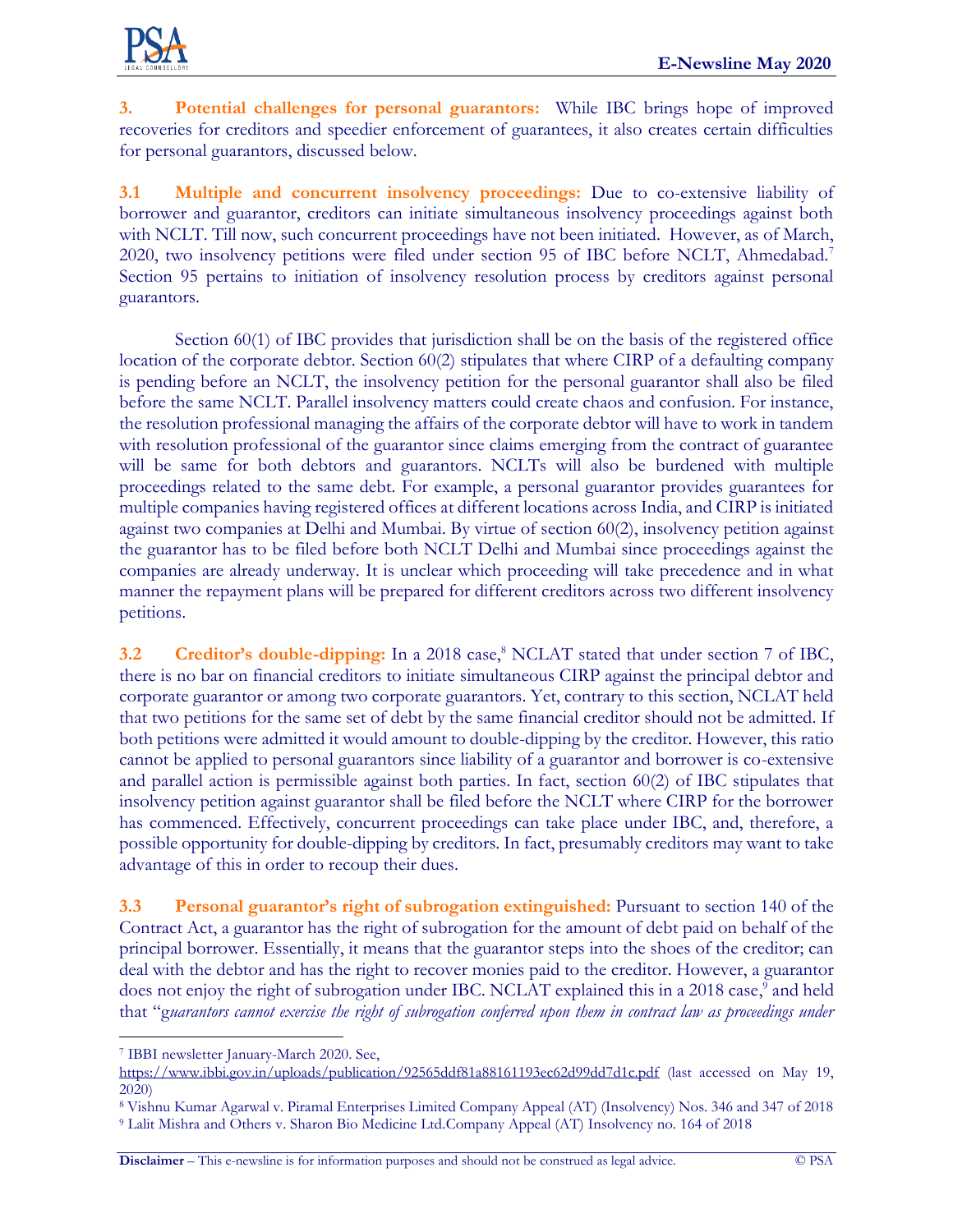

**3. Potential challenges for personal guarantors:** While IBC brings hope of improved recoveries for creditors and speedier enforcement of guarantees, it also creates certain difficulties for personal guarantors, discussed below.

**3.1 Multiple and concurrent insolvency proceedings:** Due to co-extensive liability of borrower and guarantor, creditors can initiate simultaneous insolvency proceedings against both with NCLT. Till now, such concurrent proceedings have not been initiated. However, as of March, 2020, two insolvency petitions were filed under section 95 of IBC before NCLT, Ahmedabad.<sup>7</sup> Section 95 pertains to initiation of insolvency resolution process by creditors against personal guarantors.

Section 60(1) of IBC provides that jurisdiction shall be on the basis of the registered office location of the corporate debtor. Section 60(2) stipulates that where CIRP of a defaulting company is pending before an NCLT, the insolvency petition for the personal guarantor shall also be filed before the same NCLT. Parallel insolvency matters could create chaos and confusion. For instance, the resolution professional managing the affairs of the corporate debtor will have to work in tandem with resolution professional of the guarantor since claims emerging from the contract of guarantee will be same for both debtors and guarantors. NCLTs will also be burdened with multiple proceedings related to the same debt. For example, a personal guarantor provides guarantees for multiple companies having registered offices at different locations across India, and CIRP is initiated against two companies at Delhi and Mumbai. By virtue of section 60(2), insolvency petition against the guarantor has to be filed before both NCLT Delhi and Mumbai since proceedings against the companies are already underway. It is unclear which proceeding will take precedence and in what manner the repayment plans will be prepared for different creditors across two different insolvency petitions.

**3.2 Creditor's double-dipping:** In a 2018 case,<sup>8</sup> NCLAT stated that under section 7 of IBC, there is no bar on financial creditors to initiate simultaneous CIRP against the principal debtor and corporate guarantor or among two corporate guarantors. Yet, contrary to this section, NCLAT held that two petitions for the same set of debt by the same financial creditor should not be admitted. If both petitions were admitted it would amount to double-dipping by the creditor. However, this ratio cannot be applied to personal guarantors since liability of a guarantor and borrower is co-extensive and parallel action is permissible against both parties. In fact, section 60(2) of IBC stipulates that insolvency petition against guarantor shall be filed before the NCLT where CIRP for the borrower has commenced. Effectively, concurrent proceedings can take place under IBC, and, therefore, a possible opportunity for double-dipping by creditors. In fact, presumably creditors may want to take advantage of this in order to recoup their dues.

**3.3 Personal guarantor's right of subrogation extinguished:** Pursuant to section 140 of the Contract Act, a guarantor has the right of subrogation for the amount of debt paid on behalf of the principal borrower. Essentially, it means that the guarantor steps into the shoes of the creditor; can deal with the debtor and has the right to recover monies paid to the creditor. However, a guarantor does not enjoy the right of subrogation under IBC. NCLAT explained this in a 2018 case,<sup>9</sup> and held that "g*uarantors cannot exercise the right of subrogation conferred upon them in contract law as proceedings under* 

**Disclaimer** – This e-newsline is for information purposes and should not be construed as legal advice. © PSA

<sup>7</sup> IBBI newsletter January-March 2020. See,

<https://www.ibbi.gov.in/uploads/publication/92565ddf81a88161193ec62d99dd7d1c.pdf> (last accessed on May 19, 2020)

<sup>8</sup> Vishnu Kumar Agarwal v. Piramal Enterprises Limited Company Appeal (AT) (Insolvency) Nos. 346 and 347 of 2018 <sup>9</sup> Lalit Mishra and Others v. Sharon Bio Medicine Ltd.Company Appeal (AT) Insolvency no. 164 of 2018